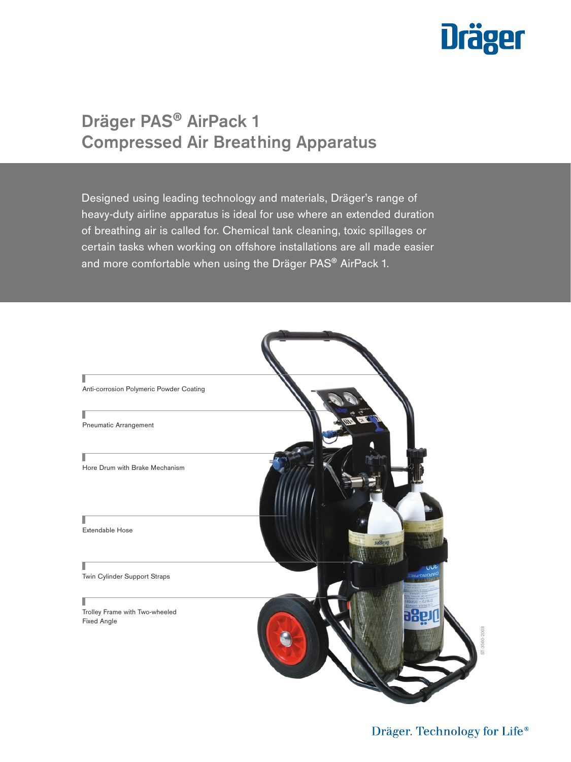# **Dräger**

# Dräger PAS® AirPack 1 Compressed Air Breathing Apparatus

Designed using leading technology and materials, Dräger's range of heavy-duty airline apparatus is ideal for use where an extended duration of breathing air is called for. Chemical tank cleaning, toxic spillages or certain tasks when working on offshore installations are all made easier and more comfortable when using the Dräger PAS® AirPack 1.

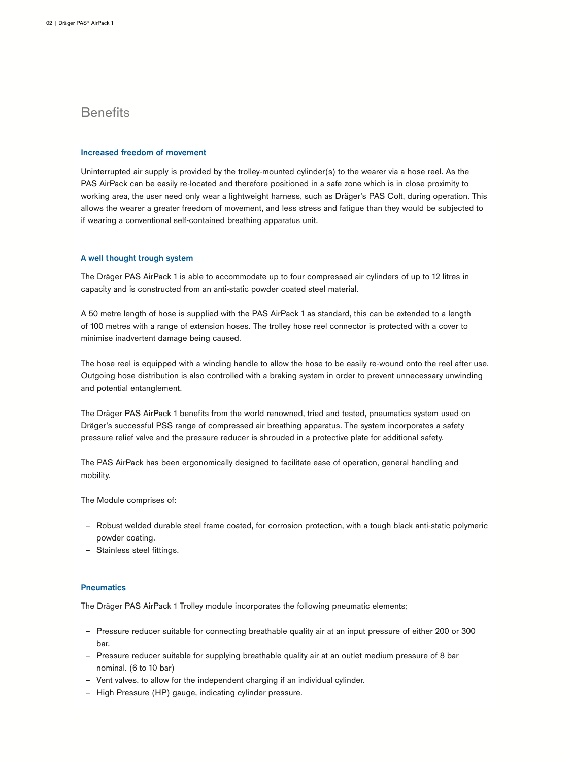# **Benefits**

### Increased freedom of movement

Uninterrupted air supply is provided by the trolley-mounted cylinder(s) to the wearer via a hose reel. As the PAS AirPack can be easily re-located and therefore positioned in a safe zone which is in close proximity to working area, the user need only wear a lightweight harness, such as Dräger's PAS Colt, during operation. This allows the wearer a greater freedom of movement, and less stress and fatigue than they would be subjected to if wearing a conventional self-contained breathing apparatus unit.

## A well thought trough system

The Dräger PAS AirPack 1 is able to accommodate up to four compressed air cylinders of up to 12 litres in capacity and is constructed from an anti-static powder coated steel material.

A 50 metre length of hose is supplied with the PAS AirPack 1 as standard, this can be extended to a length of 100 metres with a range of extension hoses. The trolley hose reel connector is protected with a cover to minimise inadvertent damage being caused.

The hose reel is equipped with a winding handle to allow the hose to be easily re-wound onto the reel after use. Outgoing hose distribution is also controlled with a braking system in order to prevent unnecessary unwinding and potential entanglement.

The Dräger PAS AirPack 1 benefits from the world renowned, tried and tested, pneumatics system used on Dräger's successful PSS range of compressed air breathing apparatus. The system incorporates a safety pressure relief valve and the pressure reducer is shrouded in a protective plate for additional safety.

The PAS AirPack has been ergonomically designed to facilitate ease of operation, general handling and mobility.

The Module comprises of:

- ‒ Robust welded durable steel frame coated, for corrosion protection, with a tough black anti-static polymeric powder coating.
- ‒ Stainless steel fittings.

### **Pneumatics**

The Dräger PAS AirPack 1 Trolley module incorporates the following pneumatic elements;

- ‒ Pressure reducer suitable for connecting breathable quality air at an input pressure of either 200 or 300 bar.
- ‒ Pressure reducer suitable for supplying breathable quality air at an outlet medium pressure of 8 bar nominal. (6 to 10 bar)
- Vent valves, to allow for the independent charging if an individual cylinder.
- High Pressure (HP) gauge, indicating cylinder pressure.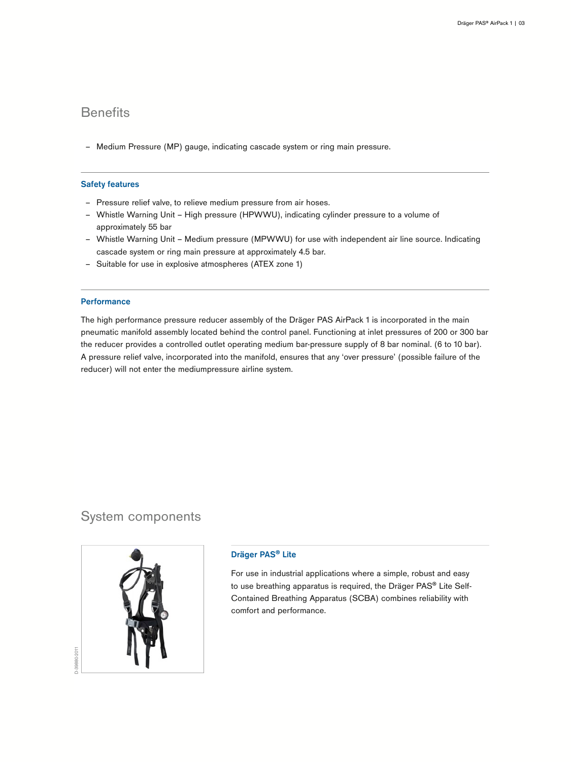# **Benefits**

- Medium Pressure (MP) gauge, indicating cascade system or ring main pressure.

# Safety features

- ‒ Pressure relief valve, to relieve medium pressure from air hoses.
- ‒ Whistle Warning Unit High pressure (HPWWU), indicating cylinder pressure to a volume of approximately 55 bar
- ‒ Whistle Warning Unit Medium pressure (MPWWU) for use with independent air line source. Indicating cascade system or ring main pressure at approximately 4.5 bar.
- ‒ Suitable for use in explosive atmospheres (ATEX zone 1)

### **Performance**

The high performance pressure reducer assembly of the Dräger PAS AirPack 1 is incorporated in the main pneumatic manifold assembly located behind the control panel. Functioning at inlet pressures of 200 or 300 bar the reducer provides a controlled outlet operating medium bar-pressure supply of 8 bar nominal. (6 to 10 bar). A pressure relief valve, incorporated into the manifold, ensures that any 'over pressure' (possible failure of the reducer) will not enter the mediumpressure airline system.

# System components



# Dräger PAS® Lite

For use in industrial applications where a simple, robust and easy to use breathing apparatus is required, the Dräger PAS® Lite Self-Contained Breathing Apparatus (SCBA) combines reliability with comfort and performance.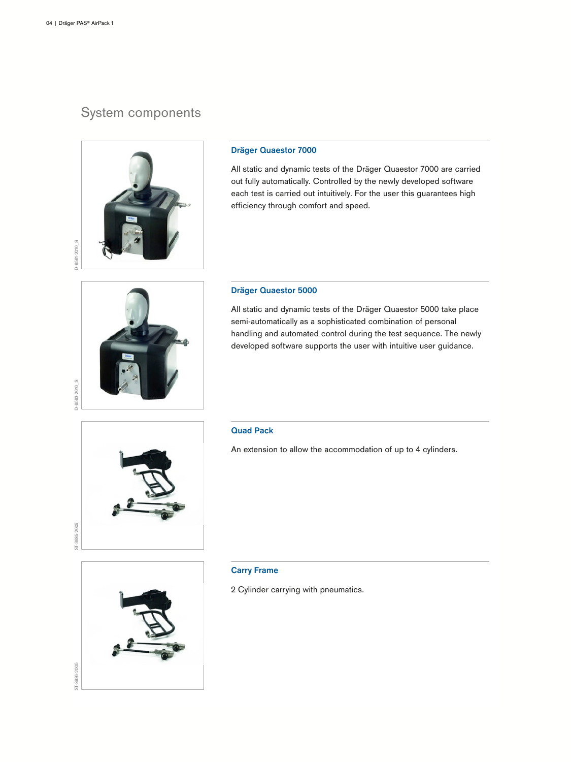# System components



# Dräger Quaestor 7000

All static and dynamic tests of the Dräger Quaestor 7000 are carried out fully automatically. Controlled by the newly developed software each test is carried out intuitively. For the user this guarantees high efficiency through comfort and speed.



# Dräger Quaestor 5000

All static and dynamic tests of the Dräger Quaestor 5000 take place semi-automatically as a sophisticated combination of personal handling and automated control during the test sequence. The newly developed software supports the user with intuitive user guidance.



### Quad Pack

An extension to allow the accommodation of up to 4 cylinders.



### Carry Frame

2 Cylinder carrying with pneumatics.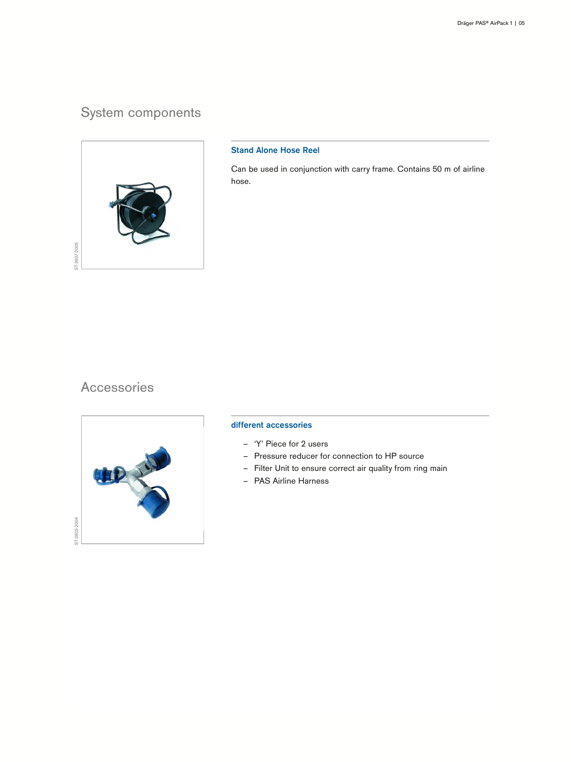# System components



# Stand Alone Hose Reel

Can be used in conjunction with carry frame. Contains 50 m of airline hose.

# Accessories



## different accessories

- ‒ 'Y' Piece for 2 users
- ‒ Pressure reducer for connection to HP source
- Filter Unit to ensure correct air quality from ring main
- PAS Airline Harness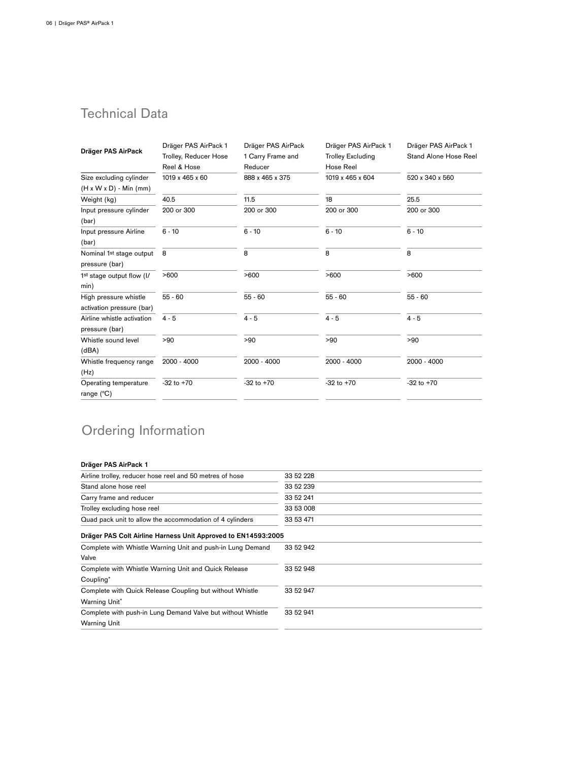# Technical Data

| Dräger PAS AirPack                    | Dräger PAS AirPack 1  | Dräger PAS AirPack | Dräger PAS AirPack 1     | Dräger PAS AirPack 1  |
|---------------------------------------|-----------------------|--------------------|--------------------------|-----------------------|
|                                       | Trolley, Reducer Hose | 1 Carry Frame and  | <b>Trolley Excluding</b> | Stand Alone Hose Reel |
|                                       | Reel & Hose           | Reducer            | Hose Reel                |                       |
| Size excluding cylinder               | 1019 x 465 x 60       | 888 x 465 x 375    | 1019 x 465 x 604         | 520 x 340 x 560       |
| $(H x W x D) - Min (mm)$              |                       |                    |                          |                       |
| Weight (kg)                           | 40.5                  | 11.5               | 18                       | 25.5                  |
| Input pressure cylinder               | 200 or 300            | 200 or 300         | 200 or 300               | 200 or 300            |
| (bar)                                 |                       |                    |                          |                       |
| Input pressure Airline                | $6 - 10$              | $6 - 10$           | $6 - 10$                 | $6 - 10$              |
| (bar)                                 |                       |                    |                          |                       |
| Nominal 1 <sup>st</sup> stage output  | 8                     | 8                  | 8                        | 8                     |
| pressure (bar)                        |                       |                    |                          |                       |
| 1 <sup>st</sup> stage output flow (I/ | >600                  | >600               | >600                     | >600                  |
| min)                                  |                       |                    |                          |                       |
| High pressure whistle                 | $55 - 60$             | $55 - 60$          | $55 - 60$                | $55 - 60$             |
| activation pressure (bar)             |                       |                    |                          |                       |
| Airline whistle activation            | $4 - 5$               | $4 - 5$            | $4 - 5$                  | $4 - 5$               |
| pressure (bar)                        |                       |                    |                          |                       |
| Whistle sound level                   | >90                   | >90                | > 90                     | >90                   |
| (dBA)                                 |                       |                    |                          |                       |
| Whistle frequency range               | 2000 - 4000           | 2000 - 4000        | 2000 - 4000              | $2000 - 4000$         |
| (Hz)                                  |                       |                    |                          |                       |
| Operating temperature                 | $-32$ to $+70$        | $-32$ to $+70$     | $-32$ to $+70$           | $-32$ to $+70$        |
| range $(^{\circ}C)$                   |                       |                    |                          |                       |

# Ordering Information

# Dräger PAS AirPack 1

| Airline trolley, reducer hose reel and 50 metres of hose      | 33 52 228 |
|---------------------------------------------------------------|-----------|
| Stand alone hose reel                                         | 33 52 239 |
| Carry frame and reducer                                       | 33 52 241 |
| Trolley excluding hose reel                                   | 33 53 008 |
| Quad pack unit to allow the accommodation of 4 cylinders      | 33 53 471 |
| Dräger PAS Colt Airline Harness Unit Approved to EN14593:2005 |           |
| Complete with Whistle Warning Unit and push-in Lung Demand    | 33 52 942 |
| Valve                                                         |           |
| Complete with Whistle Warning Unit and Quick Release          | 33 52 948 |
| Coupling*                                                     |           |
| Complete with Quick Release Coupling but without Whistle      | 33 52 947 |
| Warning Unit*                                                 |           |
| Complete with push-in Lung Demand Valve but without Whistle   | 33 52 941 |
| <b>Warning Unit</b>                                           |           |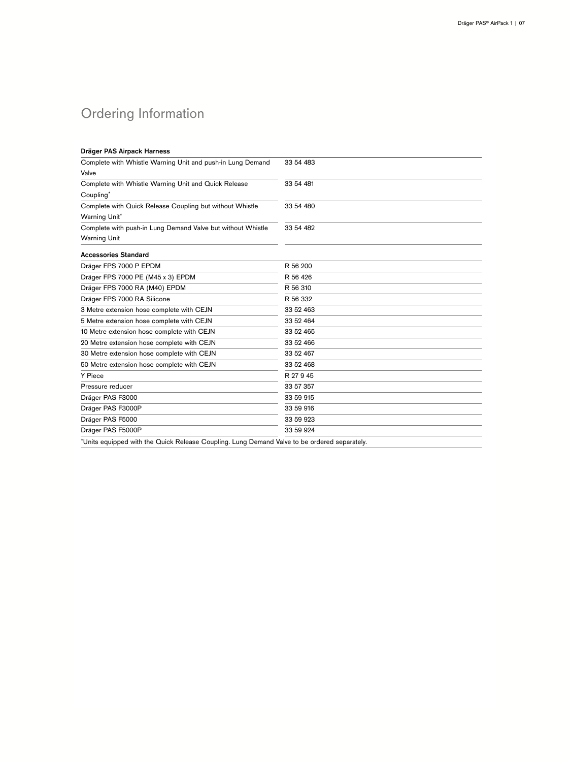# Ordering Information

| Dräger PAS Airpack Harness                                                                   |           |
|----------------------------------------------------------------------------------------------|-----------|
| Complete with Whistle Warning Unit and push-in Lung Demand                                   | 33 54 483 |
| Valve                                                                                        |           |
| Complete with Whistle Warning Unit and Quick Release                                         | 33 54 481 |
| Coupling*                                                                                    |           |
| Complete with Quick Release Coupling but without Whistle                                     | 33 54 480 |
| Warning Unit*                                                                                |           |
| Complete with push-in Lung Demand Valve but without Whistle                                  | 33 54 482 |
| <b>Warning Unit</b>                                                                          |           |
| <b>Accessories Standard</b>                                                                  |           |
| Dräger FPS 7000 P EPDM                                                                       | R 56 200  |
| Dräger FPS 7000 PE (M45 x 3) EPDM                                                            | R 56 426  |
| Dräger FPS 7000 RA (M40) EPDM                                                                | R 56 310  |
| Dräger FPS 7000 RA Silicone                                                                  | R 56 332  |
| 3 Metre extension hose complete with CEJN                                                    | 33 52 463 |
| 5 Metre extension hose complete with CEJN                                                    | 33 52 464 |
| 10 Metre extension hose complete with CEJN                                                   | 33 52 465 |
| 20 Metre extension hose complete with CEJN                                                   | 33 52 466 |
| 30 Metre extension hose complete with CEJN                                                   | 33 52 467 |
| 50 Metre extension hose complete with CEJN                                                   | 33 52 468 |
| Y Piece                                                                                      | R 27 9 45 |
| Pressure reducer                                                                             | 33 57 357 |
| Dräger PAS F3000                                                                             | 33 59 915 |
| Dräger PAS F3000P                                                                            | 33 59 916 |
| Dräger PAS F5000                                                                             | 33 59 923 |
| Dräger PAS F5000P                                                                            | 33 59 924 |
| *Units equipped with the Quick Release Coupling. Lung Demand Valve to be ordered separately. |           |